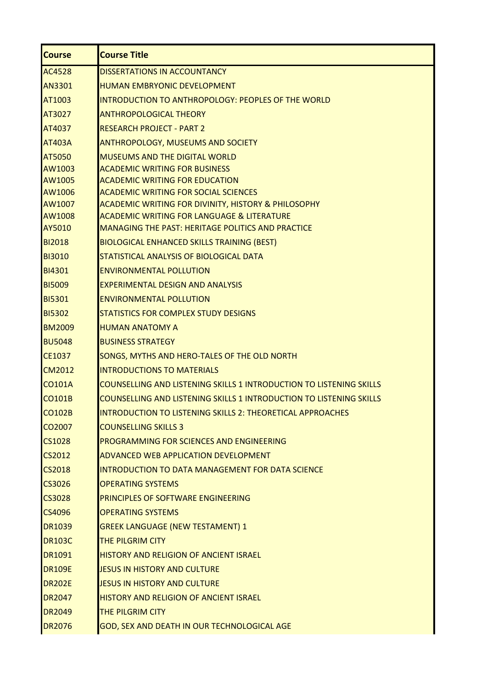| <b>Course</b>    | <b>Course Title</b>                                                                                           |
|------------------|---------------------------------------------------------------------------------------------------------------|
| <b>AC4528</b>    | DISSERTATIONS IN ACCOUNTANCY                                                                                  |
| <b>AN3301</b>    | <b>HUMAN EMBRYONIC DEVELOPMENT</b>                                                                            |
| AT1003           | INTRODUCTION TO ANTHROPOLOGY: PEOPLES OF THE WORLD                                                            |
| AT3027           | <b>ANTHROPOLOGICAL THEORY</b>                                                                                 |
| AT4037           | <b>RESEARCH PROJECT - PART 2</b>                                                                              |
| <b>AT403A</b>    | <b>ANTHROPOLOGY, MUSEUMS AND SOCIETY</b>                                                                      |
| <b>AT5050</b>    | <b>MUSEUMS AND THE DIGITAL WORLD</b>                                                                          |
| AW1003           | <b>ACADEMIC WRITING FOR BUSINESS</b>                                                                          |
| AW1005           | <b>ACADEMIC WRITING FOR EDUCATION</b>                                                                         |
| AW1006<br>AW1007 | <b>ACADEMIC WRITING FOR SOCIAL SCIENCES</b><br><b>ACADEMIC WRITING FOR DIVINITY, HISTORY &amp; PHILOSOPHY</b> |
| AW1008           | <b>ACADEMIC WRITING FOR LANGUAGE &amp; LITERATURE</b>                                                         |
| AY5010           | <b>MANAGING THE PAST: HERITAGE POLITICS AND PRACTICE</b>                                                      |
| <b>BI2018</b>    | <b>BIOLOGICAL ENHANCED SKILLS TRAINING (BEST)</b>                                                             |
| <b>BI3010</b>    | STATISTICAL ANALYSIS OF BIOLOGICAL DATA                                                                       |
| <b>BI4301</b>    | <b>ENVIRONMENTAL POLLUTION</b>                                                                                |
| <b>BI5009</b>    | <b>EXPERIMENTAL DESIGN AND ANALYSIS</b>                                                                       |
| <b>BI5301</b>    | <b>ENVIRONMENTAL POLLUTION</b>                                                                                |
| <b>BI5302</b>    | <b>STATISTICS FOR COMPLEX STUDY DESIGNS</b>                                                                   |
| <b>BM2009</b>    | <b>HUMAN ANATOMY A</b>                                                                                        |
| <b>BU5048</b>    | <b>BUSINESS STRATEGY</b>                                                                                      |
| <b>CE1037</b>    | SONGS, MYTHS AND HERO-TALES OF THE OLD NORTH                                                                  |
| <b>CM2012</b>    | <b>INTRODUCTIONS TO MATERIALS</b>                                                                             |
| <b>CO101A</b>    | COUNSELLING AND LISTENING SKILLS 1 INTRODUCTION TO LISTENING SKILLS                                           |
| <b>CO101B</b>    | COUNSELLING AND LISTENING SKILLS 1 INTRODUCTION TO LISTENING SKILLS                                           |
| <b>CO102B</b>    | INTRODUCTION TO LISTENING SKILLS 2: THEORETICAL APPROACHES                                                    |
| CO2007           | <b>COUNSELLING SKILLS 3</b>                                                                                   |
| <b>CS1028</b>    | <b>PROGRAMMING FOR SCIENCES AND ENGINEERING</b>                                                               |
| CS2012           | <b>ADVANCED WEB APPLICATION DEVELOPMENT</b>                                                                   |
| CS2018           | INTRODUCTION TO DATA MANAGEMENT FOR DATA SCIENCE                                                              |
| CS3026           | <b>OPERATING SYSTEMS</b>                                                                                      |
| <b>CS3028</b>    | <b>PRINCIPLES OF SOFTWARE ENGINEERING</b>                                                                     |
| CS4096           | <b>OPERATING SYSTEMS</b>                                                                                      |
| <b>DR1039</b>    | <b>GREEK LANGUAGE (NEW TESTAMENT) 1</b>                                                                       |
| <b>DR103C</b>    | <b>THE PILGRIM CITY</b>                                                                                       |
| DR1091           | <b>HISTORY AND RELIGION OF ANCIENT ISRAEL</b>                                                                 |
| <b>DR109E</b>    | JESUS IN HISTORY AND CULTURE                                                                                  |
| <b>DR202E</b>    | JESUS IN HISTORY AND CULTURE                                                                                  |
| <b>DR2047</b>    | <b>HISTORY AND RELIGION OF ANCIENT ISRAEL</b>                                                                 |
| <b>DR2049</b>    | <b>THE PILGRIM CITY</b>                                                                                       |
| <b>DR2076</b>    | GOD, SEX AND DEATH IN OUR TECHNOLOGICAL AGE                                                                   |
|                  |                                                                                                               |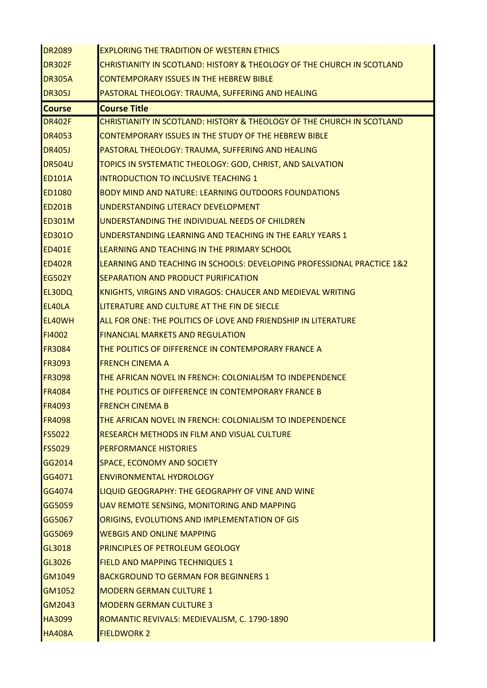| <b>DR2089</b> | <b>EXPLORING THE TRADITION OF WESTERN ETHICS</b>                       |
|---------------|------------------------------------------------------------------------|
| DR302F        | CHRISTIANITY IN SCOTLAND: HISTORY & THEOLOGY OF THE CHURCH IN SCOTLAND |
| <b>DR305A</b> | <b>CONTEMPORARY ISSUES IN THE HEBREW BIBLE</b>                         |
| <b>DR305J</b> | PASTORAL THEOLOGY: TRAUMA, SUFFERING AND HEALING                       |
| <b>Course</b> | <b>Course Title</b>                                                    |
| DR402F        | CHRISTIANITY IN SCOTLAND: HISTORY & THEOLOGY OF THE CHURCH IN SCOTLAND |
| <b>DR4053</b> | CONTEMPORARY ISSUES IN THE STUDY OF THE HEBREW BIBLE                   |
| <b>DR405J</b> | PASTORAL THEOLOGY: TRAUMA, SUFFERING AND HEALING                       |
| <b>DR504U</b> | TOPICS IN SYSTEMATIC THEOLOGY: GOD, CHRIST, AND SALVATION              |
| ED101A        | <b>INTRODUCTION TO INCLUSIVE TEACHING 1</b>                            |
| <b>ED1080</b> | <b>BODY MIND AND NATURE: LEARNING OUTDOORS FOUNDATIONS</b>             |
| <b>ED201B</b> | UNDERSTANDING LITERACY DEVELOPMENT                                     |
| <b>ED301M</b> | UNDERSTANDING THE INDIVIDUAL NEEDS OF CHILDREN                         |
| <b>ED3010</b> | UNDERSTANDING LEARNING AND TEACHING IN THE EARLY YEARS 1               |
| <b>ED401E</b> | LEARNING AND TEACHING IN THE PRIMARY SCHOOL                            |
| <b>ED402R</b> | LEARNING AND TEACHING IN SCHOOLS: DEVELOPING PROFESSIONAL PRACTICE 1&2 |
| <b>EG502Y</b> | SEPARATION AND PRODUCT PURIFICATION                                    |
| EL30DQ        | KNIGHTS, VIRGINS AND VIRAGOS: CHAUCER AND MEDIEVAL WRITING             |
| EL40LA        | LITERATURE AND CULTURE AT THE FIN DE SIECLE                            |
| EL40WH        | ALL FOR ONE: THE POLITICS OF LOVE AND FRIENDSHIP IN LITERATURE         |
| <b>FI4002</b> | <b>FINANCIAL MARKETS AND REGULATION</b>                                |
| <b>FR3084</b> | THE POLITICS OF DIFFERENCE IN CONTEMPORARY FRANCE A                    |
| <b>FR3093</b> | <b>FRENCH CINEMA A</b>                                                 |
| <b>FR3098</b> | THE AFRICAN NOVEL IN FRENCH: COLONIALISM TO INDEPENDENCE               |
| <b>FR4084</b> | THE POLITICS OF DIFFERENCE IN CONTEMPORARY FRANCE B                    |
| <b>FR4093</b> | <b>FRENCH CINEMA B</b>                                                 |
| <b>FR4098</b> | THE AFRICAN NOVEL IN FRENCH: COLONIALISM TO INDEPENDENCE               |
| <b>FS5022</b> | <b>RESEARCH METHODS IN FILM AND VISUAL CULTURE</b>                     |
| <b>FS5029</b> | <b>PERFORMANCE HISTORIES</b>                                           |
| GG2014        | <b>SPACE, ECONOMY AND SOCIETY</b>                                      |
| GG4071        | <b>ENVIRONMENTAL HYDROLOGY</b>                                         |
| GG4074        | LIQUID GEOGRAPHY: THE GEOGRAPHY OF VINE AND WINE                       |
| GG5059        | UAV REMOTE SENSING, MONITORING AND MAPPING                             |
| GG5067        | ORIGINS, EVOLUTIONS AND IMPLEMENTATION OF GIS                          |
| GG5069        | <b>WEBGIS AND ONLINE MAPPING</b>                                       |
| GL3018        | <b>PRINCIPLES OF PETROLEUM GEOLOGY</b>                                 |
| GL3026        | FIELD AND MAPPING TECHNIQUES 1                                         |
| GM1049        | <b>BACKGROUND TO GERMAN FOR BEGINNERS 1</b>                            |
| GM1052        | <b>MODERN GERMAN CULTURE 1</b>                                         |
| GM2043        | <b>MODERN GERMAN CULTURE 3</b>                                         |
| HA3099        | ROMANTIC REVIVALS: MEDIEVALISM, C. 1790-1890                           |
| <b>HA408A</b> | <b>FIELDWORK 2</b>                                                     |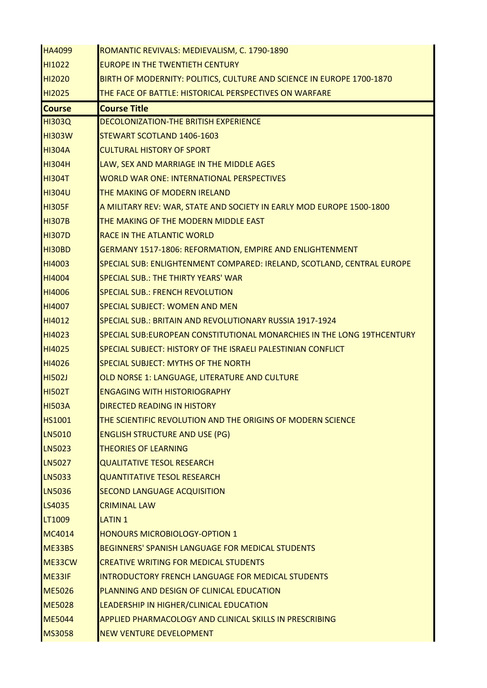| <b>HA4099</b> | ROMANTIC REVIVALS: MEDIEVALISM, C. 1790-1890                            |
|---------------|-------------------------------------------------------------------------|
| HI1022        | <b>EUROPE IN THE TWENTIETH CENTURY</b>                                  |
| <b>HI2020</b> | BIRTH OF MODERNITY: POLITICS, CULTURE AND SCIENCE IN EUROPE 1700-1870   |
| HI2025        | THE FACE OF BATTLE: HISTORICAL PERSPECTIVES ON WARFARE                  |
| <b>Course</b> | <b>Course Title</b>                                                     |
| <b>HI303Q</b> | DECOLONIZATION-THE BRITISH EXPERIENCE                                   |
| <b>HI303W</b> | STEWART SCOTLAND 1406-1603                                              |
| <b>HI304A</b> | <b>CULTURAL HISTORY OF SPORT</b>                                        |
| <b>HI304H</b> | LAW, SEX AND MARRIAGE IN THE MIDDLE AGES                                |
| <b>HI304T</b> | <b>WORLD WAR ONE: INTERNATIONAL PERSPECTIVES</b>                        |
| <b>HI304U</b> | THE MAKING OF MODERN IRELAND                                            |
| <b>HI305F</b> | A MILITARY REV: WAR, STATE AND SOCIETY IN EARLY MOD EUROPE 1500-1800    |
| <b>HI307B</b> | THE MAKING OF THE MODERN MIDDLE EAST                                    |
| <b>HI307D</b> | <b>RACE IN THE ATLANTIC WORLD</b>                                       |
| HI30BD        | GERMANY 1517-1806: REFORMATION, EMPIRE AND ENLIGHTENMENT                |
| <b>HI4003</b> | SPECIAL SUB: ENLIGHTENMENT COMPARED: IRELAND, SCOTLAND, CENTRAL EUROPE  |
| <b>HI4004</b> | <b>SPECIAL SUB.: THE THIRTY YEARS' WAR</b>                              |
| <b>HI4006</b> | <b>SPECIAL SUB.: FRENCH REVOLUTION</b>                                  |
| <b>HI4007</b> | <b>SPECIAL SUBJECT: WOMEN AND MEN</b>                                   |
| HI4012        | SPECIAL SUB.: BRITAIN AND REVOLUTIONARY RUSSIA 1917-1924                |
| HI4023        | SPECIAL SUB: EUROPEAN CONSTITUTIONAL MONARCHIES IN THE LONG 19THCENTURY |
| <b>HI4025</b> | SPECIAL SUBJECT: HISTORY OF THE ISRAELI PALESTINIAN CONFLICT            |
| <b>HI4026</b> | <b>SPECIAL SUBJECT: MYTHS OF THE NORTH</b>                              |
| <b>HI502J</b> | OLD NORSE 1: LANGUAGE, LITERATURE AND CULTURE                           |
| <b>HI502T</b> | <b>ENGAGING WITH HISTORIOGRAPHY</b>                                     |
| <b>HI503A</b> | <b>DIRECTED READING IN HISTORY</b>                                      |
| <b>HS1001</b> | THE SCIENTIFIC REVOLUTION AND THE ORIGINS OF MODERN SCIENCE             |
| <b>LN5010</b> | <b>ENGLISH STRUCTURE AND USE (PG)</b>                                   |
| <b>LN5023</b> | <b>THEORIES OF LEARNING</b>                                             |
| <b>LN5027</b> | <b>QUALITATIVE TESOL RESEARCH</b>                                       |
| <b>LN5033</b> | <b>QUANTITATIVE TESOL RESEARCH</b>                                      |
| <b>LN5036</b> | <b>SECOND LANGUAGE ACQUISITION</b>                                      |
| <b>LS4035</b> | <b>CRIMINAL LAW</b>                                                     |
| LT1009        | <b>LATIN 1</b>                                                          |
| <b>MC4014</b> | <b>HONOURS MICROBIOLOGY-OPTION 1</b>                                    |
| ME33BS        | <b>BEGINNERS' SPANISH LANGUAGE FOR MEDICAL STUDENTS</b>                 |
| ME33CW        | <b>CREATIVE WRITING FOR MEDICAL STUDENTS</b>                            |
| ME33IF        | <b>INTRODUCTORY FRENCH LANGUAGE FOR MEDICAL STUDENTS</b>                |
| <b>ME5026</b> | PLANNING AND DESIGN OF CLINICAL EDUCATION                               |
| <b>ME5028</b> | LEADERSHIP IN HIGHER/CLINICAL EDUCATION                                 |
| <b>ME5044</b> | <b>APPLIED PHARMACOLOGY AND CLINICAL SKILLS IN PRESCRIBING</b>          |
| <b>MS3058</b> | <b>NEW VENTURE DEVELOPMENT</b>                                          |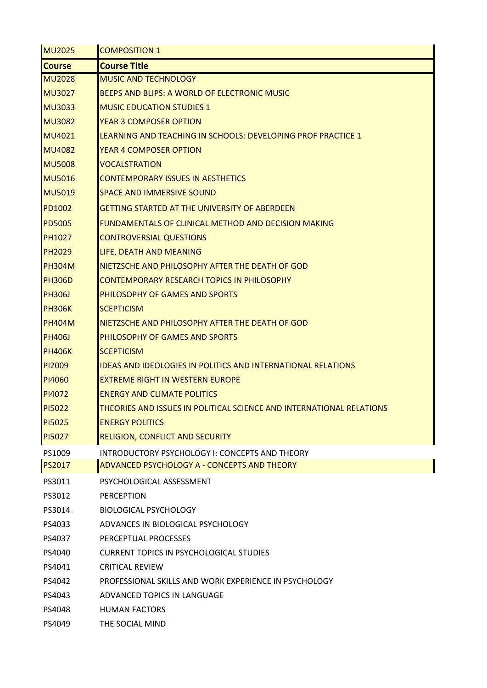| <b>MU2025</b>      | <b>COMPOSITION 1</b>                                                 |
|--------------------|----------------------------------------------------------------------|
| <b>Course</b>      | <b>Course Title</b>                                                  |
| <b>MU2028</b>      | <b>MUSIC AND TECHNOLOGY</b>                                          |
| <b>MU3027</b>      | BEEPS AND BLIPS: A WORLD OF ELECTRONIC MUSIC                         |
| <b>MU3033</b>      | <b>MUSIC EDUCATION STUDIES 1</b>                                     |
| <b>MU3082</b>      | <b>YEAR 3 COMPOSER OPTION</b>                                        |
| MU4021             | LEARNING AND TEACHING IN SCHOOLS: DEVELOPING PROF PRACTICE 1         |
| <b>MU4082</b>      | <b>YEAR 4 COMPOSER OPTION</b>                                        |
| <b>MU5008</b>      | <b>VOCALSTRATION</b>                                                 |
| <b>MU5016</b>      | <b>CONTEMPORARY ISSUES IN AESTHETICS</b>                             |
| <b>MU5019</b>      | <b>SPACE AND IMMERSIVE SOUND</b>                                     |
| <b>PD1002</b>      | <b>GETTING STARTED AT THE UNIVERSITY OF ABERDEEN</b>                 |
| <b>PD5005</b>      | <b>FUNDAMENTALS OF CLINICAL METHOD AND DECISION MAKING</b>           |
| <b>PH1027</b>      | <b>CONTROVERSIAL QUESTIONS</b>                                       |
| <b>PH2029</b>      | LIFE, DEATH AND MEANING                                              |
| <b>PH304M</b>      | NIETZSCHE AND PHILOSOPHY AFTER THE DEATH OF GOD                      |
| <b>PH306D</b>      | <b>CONTEMPORARY RESEARCH TOPICS IN PHILOSOPHY</b>                    |
| <b>PH306J</b>      | <b>PHILOSOPHY OF GAMES AND SPORTS</b>                                |
| <b>PH306K</b>      | <b>SCEPTICISM</b>                                                    |
| <b>PH404M</b>      | NIETZSCHE AND PHILOSOPHY AFTER THE DEATH OF GOD                      |
| <b>PH406J</b>      | <b>PHILOSOPHY OF GAMES AND SPORTS</b>                                |
| <b>PH406K</b>      | <b>SCEPTICISM</b>                                                    |
| P <sub>12009</sub> | <b>IDEAS AND IDEOLOGIES IN POLITICS AND INTERNATIONAL RELATIONS</b>  |
| <b>PI4060</b>      | <b>EXTREME RIGHT IN WESTERN EUROPE</b>                               |
| PI4072             | <b>ENERGY AND CLIMATE POLITICS</b>                                   |
| <b>PI5022</b>      | THEORIES AND ISSUES IN POLITICAL SCIENCE AND INTERNATIONAL RELATIONS |
| <b>PI5025</b>      | <b>ENERGY POLITICS</b>                                               |
| <b>PI5027</b>      | <b>RELIGION, CONFLICT AND SECURITY</b>                               |
| PS1009             | INTRODUCTORY PSYCHOLOGY I: CONCEPTS AND THEORY                       |
| <b>PS2017</b>      | ADVANCED PSYCHOLOGY A - CONCEPTS AND THEORY                          |
| PS3011             | PSYCHOLOGICAL ASSESSMENT                                             |
| PS3012             | <b>PERCEPTION</b>                                                    |
| PS3014             | <b>BIOLOGICAL PSYCHOLOGY</b>                                         |
| PS4033             | ADVANCES IN BIOLOGICAL PSYCHOLOGY                                    |
| PS4037             | PERCEPTUAL PROCESSES                                                 |
| PS4040             | <b>CURRENT TOPICS IN PSYCHOLOGICAL STUDIES</b>                       |
| PS4041             | <b>CRITICAL REVIEW</b>                                               |
| PS4042             | PROFESSIONAL SKILLS AND WORK EXPERIENCE IN PSYCHOLOGY                |
| PS4043             | ADVANCED TOPICS IN LANGUAGE                                          |
| PS4048             | <b>HUMAN FACTORS</b>                                                 |
| PS4049             | THE SOCIAL MIND                                                      |